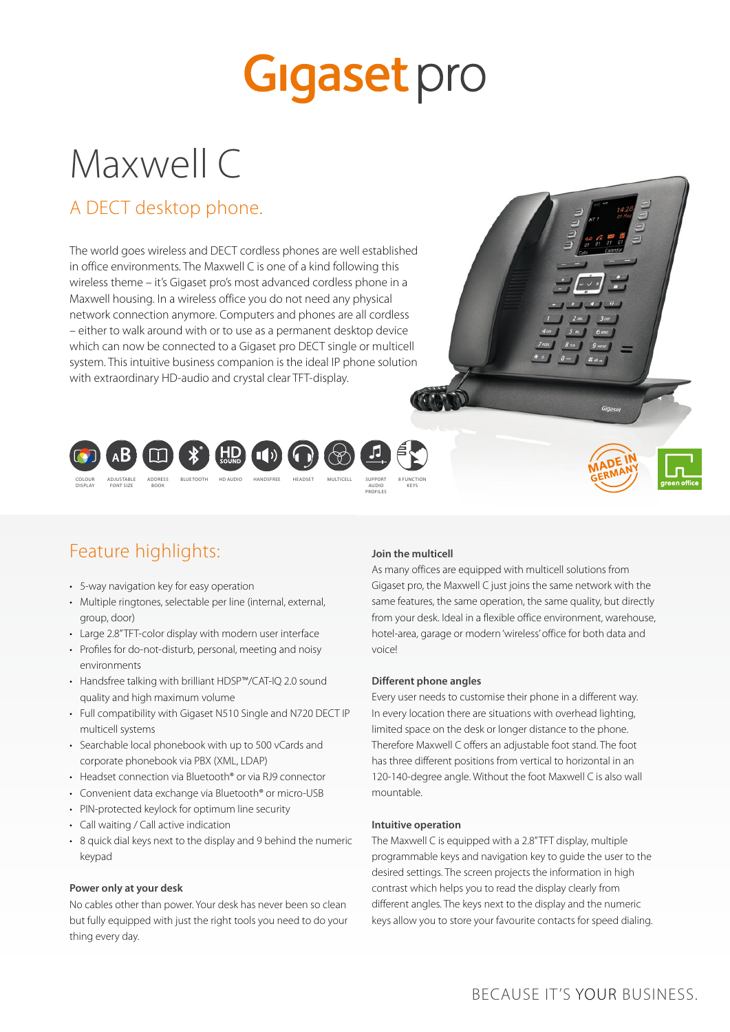# **Gigaset** pro

# Maxwell C

### A DECT desktop phone.

The world goes wireless and DECT cordless phones are well established in office environments. The Maxwell C is one of a kind following this wireless theme – it's Gigaset pro's most advanced cordless phone in a Maxwell housing. In a wireless office you do not need any physical network connection anymore. Computers and phones are all cordless – either to walk around with or to use as a permanent desktop device which can now be connected to a Gigaset pro DECT single or multicell system. This intuitive business companion is the ideal IP phone solution with extraordinary HD-audio and crystal clear TFT-display.







### Feature highlights:

- 5-way navigation key for easy operation
- Multiple ringtones, selectable per line (internal, external, group, door)
- Large 2.8" TFT-color display with modern user interface
- Profiles for do-not-disturb, personal, meeting and noisy environments
- Handsfree talking with brilliant HDSP™/CAT-IQ 2.0 sound quality and high maximum volume
- Full compatibility with Gigaset N510 Single and N720 DECT IP multicell systems
- Searchable local phonebook with up to 500 vCards and corporate phonebook via PBX (XML, LDAP)
- Headset connection via Bluetooth® or via RJ9 connector
- Convenient data exchange via Bluetooth® or micro-USB
- PIN-protected keylock for optimum line security
- Call waiting / Call active indication
- 8 quick dial keys next to the display and 9 behind the numeric keypad

#### **Power only at your desk**

No cables other than power. Your desk has never been so clean but fully equipped with just the right tools you need to do your thing every day.

#### **Join the multicell**

As many offices are equipped with multicell solutions from Gigaset pro, the Maxwell C just joins the same network with the same features, the same operation, the same quality, but directly from your desk. Ideal in a flexible office environment, warehouse, hotel-area, garage or modern 'wireless' office for both data and voice!

#### **Different phone angles**

Every user needs to customise their phone in a different way. In every location there are situations with overhead lighting, limited space on the desk or longer distance to the phone. Therefore Maxwell C offers an adjustable foot stand. The foot has three different positions from vertical to horizontal in an 120-140-degree angle. Without the foot Maxwell C is also wall mountable.

#### **Intuitive operation**

The Maxwell C is equipped with a 2.8" TFT display, multiple programmable keys and navigation key to guide the user to the desired settings. The screen projects the information in high contrast which helps you to read the display clearly from different angles. The keys next to the display and the numeric keys allow you to store your favourite contacts for speed dialing.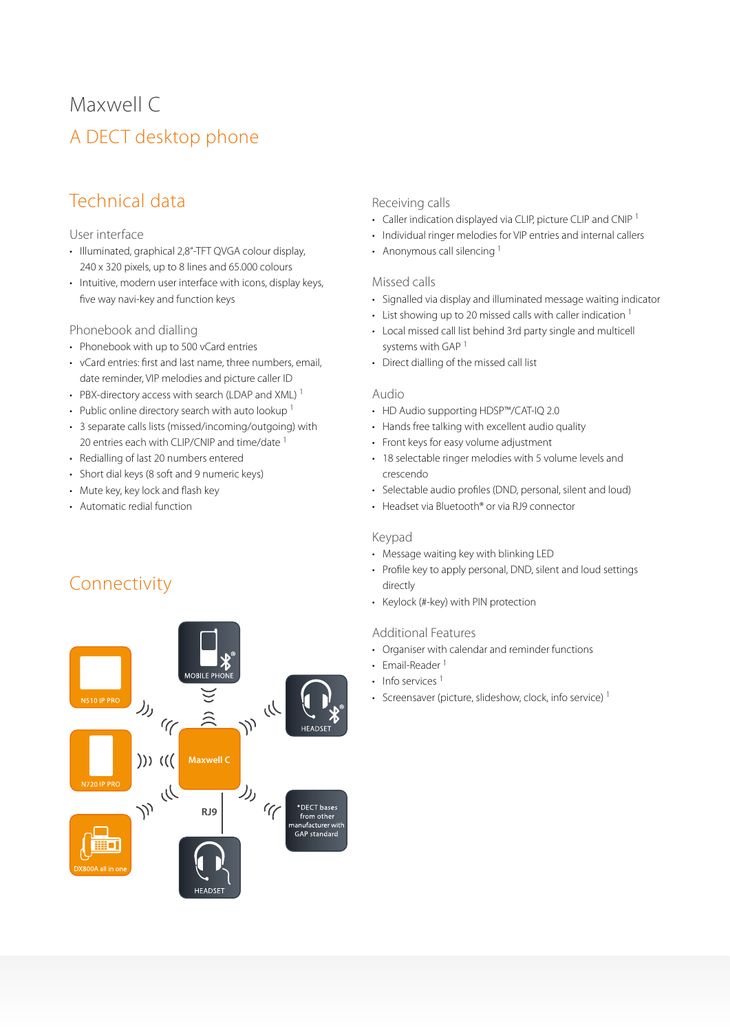# A DECT desktop phone Maxwell C

## Technical data

#### User interface

- Illuminated, graphical 2,8"-TFT QVGA colour display, 240 x 320 pixels, up to 8 lines and 65.000 colours
- Intuitive, modern user interface with icons, display keys, five way navi-key and function keys

#### Phonebook and dialling

- Phonebook with up to 500 vCard entries
- vCard entries: first and last name, three numbers, email, date reminder, VIP melodies and picture caller ID
- PBX-directory access with search (LDAP and XML)<sup>1</sup>
- Public online directory search with auto lookup<sup>1</sup>
- 3 separate calls lists (missed/incoming/outgoing) with 20 entries each with CLIP/CNIP and time/date <sup>1</sup>
- Redialling of last 20 numbers entered
- Short dial keys (8 soft and 9 numeric keys)
- Mute key, key lock and flash key
- Automatic redial function

### Connectivity



#### Receiving calls

- Caller indication displayed via CLIP, picture CLIP and CNIP<sup>1</sup>
- Individual ringer melodies for VIP entries and internal callers
- Anonymous call silencing<sup>1</sup>

#### Missed calls

- Signalled via display and illuminated message waiting indicator
- List showing up to 20 missed calls with caller indication  $1$
- Local missed call list behind 3rd party single and multicell systems with GAP 1
- Direct dialling of the missed call list

#### Audio

- HD Audio supporting HDSP™/CAT-IQ 2.0
- Hands free talking with excellent audio quality
- Front keys for easy volume adjustment
- 18 selectable ringer melodies with 5 volume levels and crescendo
- Selectable audio profiles (DND, personal, silent and loud)
- Headset via Bluetooth® or via RJ9 connector

#### Keypad

- Message waiting key with blinking LED
- Profile key to apply personal, DND, silent and loud settings directly
- Keylock (#-key) with PIN protection

#### Additional Features

- Organiser with calendar and reminder functions
- Email-Reader<sup>1</sup>
- Info services  $<sup>1</sup>$ </sup>
- Screensaver (picture, slideshow, clock, info service)<sup>1</sup>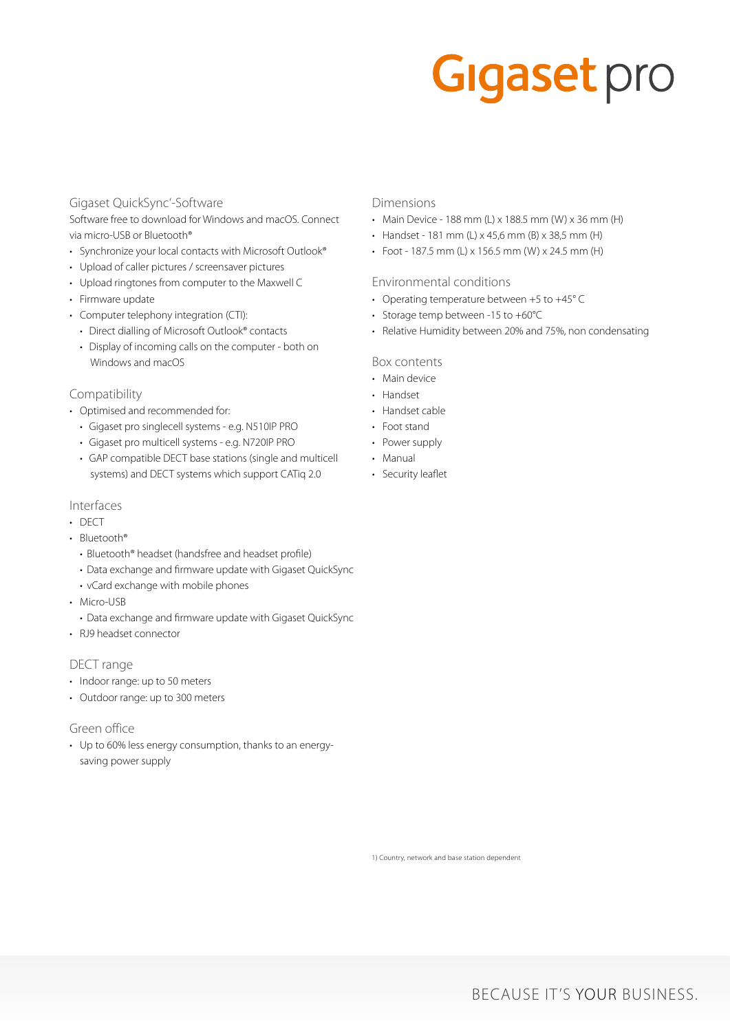# **Gigaset** pro

#### Gigaset QuickSync'-Software

Software free to download for Windows and macOS. Connect via micro-USB or Bluetooth®

- Synchronize your local contacts with Microsoft Outlook®
- Upload of caller pictures / screensaver pictures
- Upload ringtones from computer to the Maxwell C
- Firmware update
- Computer telephony integration (CTI):
	- Direct dialling of Microsoft Outlook® contacts
	- Display of incoming calls on the computer both on Windows and macOS

#### Compatibility

- Optimised and recommended for:
	- Gigaset pro singlecell systems e.g. N510IP PRO
	- Gigaset pro multicell systems e.g. N720IP PRO
	- GAP compatible DECT base stations (single and multicell systems) and DECT systems which support CATiq 2.0

#### Interfaces

- DECT
- Bluetooth®
	- Bluetooth® headset (handsfree and headset profile)
	- Data exchange and firmware update with Gigaset QuickSync
	- vCard exchange with mobile phones
- Micro-USB
- Data exchange and firmware update with Gigaset QuickSync
- RJ9 headset connector

#### DECT range

- Indoor range: up to 50 meters
- Outdoor range: up to 300 meters

#### Green office

• Up to 60% less energy consumption, thanks to an energysaving power supply

#### Dimensions

- Main Device 188 mm (L) x 188.5 mm (W) x 36 mm (H)
- Handset 181 mm (L) x 45,6 mm (B) x 38,5 mm (H)
- Foot 187.5 mm (L) x 156.5 mm (W) x 24.5 mm (H)

#### Environmental conditions

- Operating temperature between +5 to +45° C
- Storage temp between -15 to +60°C
- Relative Humidity between 20% and 75%, non condensating

#### Box contents

- Main device
- Handset
- Handset cable
- Foot stand
- Power supply
- Manual
- Security leaflet

1) Country, network and base station dependent